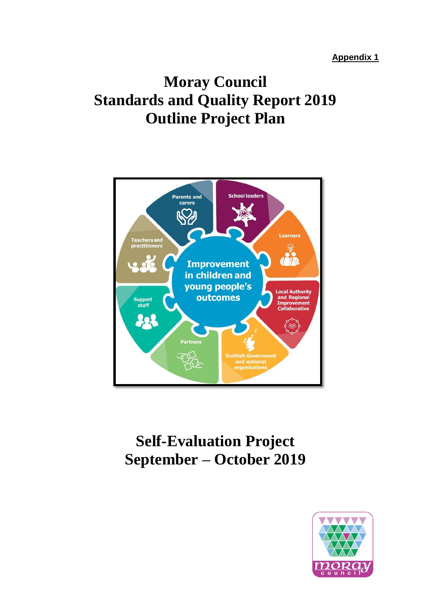**Appendix 1**

## **Moray Council Standards and Quality Report 2019 Outline Project Plan**



# **Self-Evaluation Project September – October 2019**

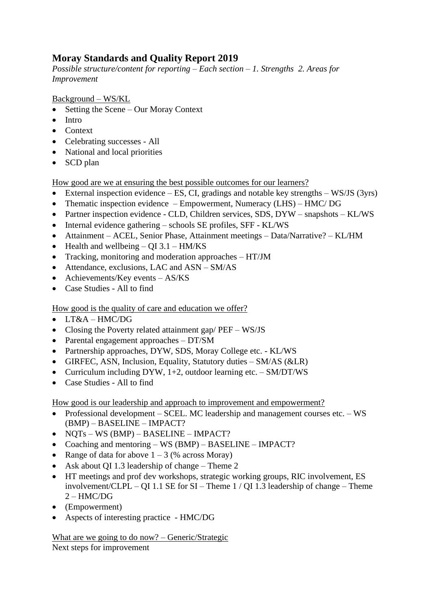#### **Moray Standards and Quality Report 2019**

*Possible structure/content for reporting – Each section – 1. Strengths 2. Areas for Improvement*

Background – WS/KL

- Setting the Scene Our Moray Context
- Intro
- Context
- Celebrating successes All
- National and local priorities
- SCD plan

How good are we at ensuring the best possible outcomes for our learners?

- External inspection evidence ES, CI, gradings and notable key strengths WS/JS (3yrs)
- Thematic inspection evidence Empowerment, Numeracy (LHS) HMC/ DG
- Partner inspection evidence CLD, Children services, SDS, DYW snapshots KL/WS
- Internal evidence gathering schools SE profiles, SFF KL/WS
- Attainment ACEL, Senior Phase, Attainment meetings Data/Narrative? KL/HM
- Health and wellbeing  $QI 3.1 H M/KS$
- Tracking, monitoring and moderation approaches HT/JM
- Attendance, exclusions, LAC and ASN SM/AS
- Achievements/Key events AS/KS
- Case Studies All to find

How good is the quality of care and education we offer?

- LT&A HMC/DG
- Closing the Poverty related attainment gap/ PEF WS/JS
- Parental engagement approaches DT/SM
- Partnership approaches, DYW, SDS, Moray College etc. KL/WS
- GIRFEC, ASN, Inclusion, Equality, Statutory duties SM/AS (&LR)
- Curriculum including DYW, 1+2, outdoor learning etc. SM/DT/WS
- Case Studies All to find

How good is our leadership and approach to improvement and empowerment?

- Professional development SCEL. MC leadership and management courses etc. WS (BMP) – BASELINE – IMPACT?
- NQTs WS (BMP) BASELINE IMPACT?
- Coaching and mentoring WS (BMP) BASELINE IMPACT?
- Range of data for above  $1 3$  (% across Moray)
- Ask about OI 1.3 leadership of change Theme 2
- HT meetings and prof dev workshops, strategic working groups, RIC involvement, ES involvement/CLPL – QI 1.1 SE for SI – Theme 1 / QI 1.3 leadership of change – Theme  $2 - HMC/DG$
- (Empowerment)
- Aspects of interesting practice HMC/DG

What are we going to do now? – Generic/Strategic Next steps for improvement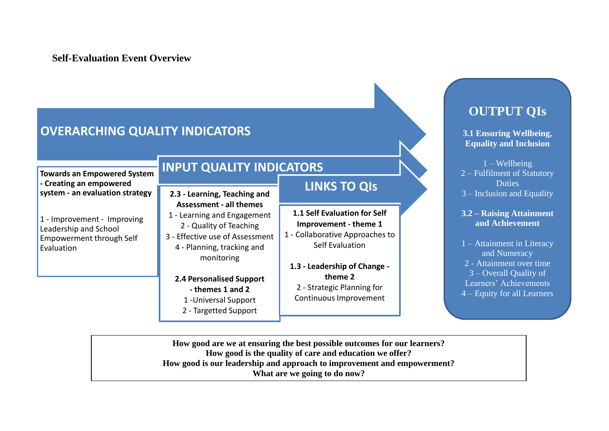#### **Self-Evaluation Event Overview**

## **OVERARCHING QUALITY INDICATORS**

**Towards an Empowered System - Creating an empowered system - an evaluation strategy**

1 - Improvement - Improving Leadership and School Empowerment through Self Evaluation

#### **INPUT QUALITY INDICATORS**

**2.3 - Learning, Teaching and Assessment - all themes**

1 - Learning and Engagement 2 - Quality of Teaching

3 - Effective use of Assessment 4 - Planning, tracking and monitoring

#### **2.4 Personalised Support**

- **- themes 1 and 2** 1 -Universal Support
- 2 Targetted Support

#### **LINKS TO QIs**

- **1.1 Self Evaluation for Self Improvement - theme 1**
- 1 Collaborative Approaches to Self Evaluation
- **1.3 - Leadership of Change theme 2** 2 - Strategic Planning for Continuous Improvement

## **OUTPUT QIs**

**3.1 Ensuring Wellbeing, Equality and Inclusion**

1 – Wellbeing 2 – Fulfilment of Statutory **Duties** 3 – Inclusion and Equality

**3.2 – Raising Attainment and Achievement**

1 – Attainment in Literacy and Numeracy 2 - Attainment over time 3 – Overall Quality of Learners' Achievements 4 – Equity for all Learners

**How good are we at ensuring the best possible outcomes for our learners? How good is the quality of care and education we offer? How good is our leadership and approach to improvement and empowerment? What are we going to do now?**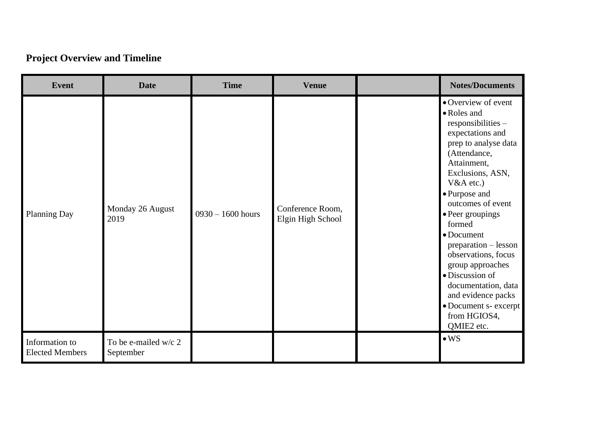## **Project Overview and Timeline**

| <b>Event</b>                             | <b>Date</b>                       | <b>Time</b>         | <b>Venue</b>                          | <b>Notes/Documents</b>                                                                                                                                                                                                                                                                                                                                                                                                                             |
|------------------------------------------|-----------------------------------|---------------------|---------------------------------------|----------------------------------------------------------------------------------------------------------------------------------------------------------------------------------------------------------------------------------------------------------------------------------------------------------------------------------------------------------------------------------------------------------------------------------------------------|
| <b>Planning Day</b>                      | Monday 26 August<br>2019          | $0930 - 1600$ hours | Conference Room,<br>Elgin High School | • Overview of event<br>• Roles and<br>responsibilities -<br>expectations and<br>prep to analyse data<br>(Attendance,<br>Attainment,<br>Exclusions, ASN,<br>$V&A$ etc.)<br>• Purpose and<br>outcomes of event<br>• Peer groupings<br>formed<br>• Document<br>preparation - lesson<br>observations, focus<br>group approaches<br>· Discussion of<br>documentation, data<br>and evidence packs<br>• Document s- excerpt<br>from HGIOS4,<br>QMIE2 etc. |
| Information to<br><b>Elected Members</b> | To be e-mailed w/c 2<br>September |                     |                                       | $\bullet$ WS                                                                                                                                                                                                                                                                                                                                                                                                                                       |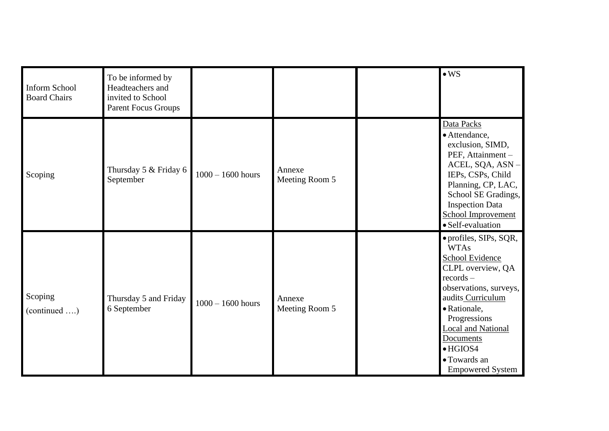| <b>Inform School</b><br><b>Board Chairs</b> | To be informed by<br>Headteachers and<br>invited to School<br>Parent Focus Groups |                     |                          | $\bullet$ WS                                                                                                                                                                                                                                                                                |
|---------------------------------------------|-----------------------------------------------------------------------------------|---------------------|--------------------------|---------------------------------------------------------------------------------------------------------------------------------------------------------------------------------------------------------------------------------------------------------------------------------------------|
| Scoping                                     | Thursday 5 & Friday 6<br>September                                                | $1000 - 1600$ hours | Annexe<br>Meeting Room 5 | Data Packs<br>· Attendance,<br>exclusion, SIMD,<br>PEF, Attainment -<br>ACEL, SQA, ASN-<br>IEPs, CSPs, Child<br>Planning, CP, LAC,<br>School SE Gradings,<br><b>Inspection Data</b><br><b>School Improvement</b><br>· Self-evaluation                                                       |
| Scoping<br>(continued )                     | Thursday 5 and Friday<br>6 September                                              | $1000 - 1600$ hours | Annexe<br>Meeting Room 5 | • profiles, SIPs, SQR,<br><b>WTAs</b><br><b>School Evidence</b><br>CLPL overview, QA<br>$records -$<br>observations, surveys,<br>audits Curriculum<br>• Rationale,<br>Progressions<br><b>Local and National</b><br>Documents<br>$\bullet$ HGIOS4<br>• Towards an<br><b>Empowered System</b> |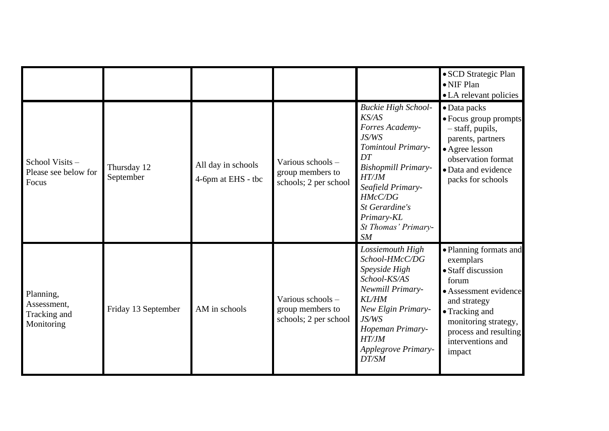|                                                        |                          |                                          |                                                                |                                                                                                                                                                                                                                              | • SCD Strategic Plan<br>$\bullet$ NIF Plan<br>• LA relevant policies                                                                                                                                          |
|--------------------------------------------------------|--------------------------|------------------------------------------|----------------------------------------------------------------|----------------------------------------------------------------------------------------------------------------------------------------------------------------------------------------------------------------------------------------------|---------------------------------------------------------------------------------------------------------------------------------------------------------------------------------------------------------------|
| School Visits -<br>Please see below for<br>Focus       | Thursday 12<br>September | All day in schools<br>4-6pm at EHS - tbc | Various schools -<br>group members to<br>schools; 2 per school | <b>Buckie High School-</b><br>K <sub>S</sub> /AS<br>Forres Academy-<br>JS/WS<br>Tomintoul Primary-<br>DT<br><b>Bishopmill Primary-</b><br>HT/JM<br>Seafield Primary-<br>HMcC/DG<br>St Gerardine's<br>Primary-KL<br>St Thomas' Primary-<br>SM | $\bullet$ Data packs<br>· Focus group prompts<br>- staff, pupils,<br>parents, partners<br>• Agree lesson<br>observation format<br>• Data and evidence<br>packs for schools                                    |
| Planning,<br>Assessment,<br>Tracking and<br>Monitoring | Friday 13 September      | AM in schools                            | Various schools -<br>group members to<br>schools; 2 per school | Lossiemouth High<br>School-HMcC/DG<br>Speyside High<br>School-KS/AS<br>Newmill Primary-<br><b>KL/HM</b><br>New Elgin Primary-<br>JS/WS<br>Hopeman Primary-<br><b>HT/JM</b><br>Applegrove Primary-<br>DT/SM                                   | • Planning formats and<br>exemplars<br>• Staff discussion<br>forum<br>• Assessment evidence<br>and strategy<br>• Tracking and<br>monitoring strategy,<br>process and resulting<br>interventions and<br>impact |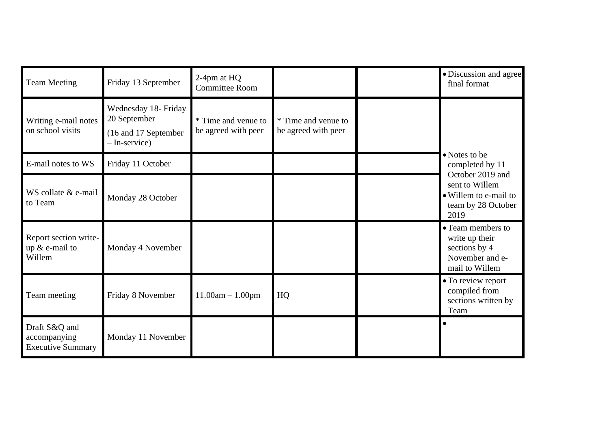| <b>Team Meeting</b>                                       | Friday 13 September                                                           | 2-4pm at HQ<br><b>Committee Room</b>       |                                            | · Discussion and agree<br>final format                                                    |
|-----------------------------------------------------------|-------------------------------------------------------------------------------|--------------------------------------------|--------------------------------------------|-------------------------------------------------------------------------------------------|
| Writing e-mail notes<br>on school visits                  | Wednesday 18- Friday<br>20 September<br>(16 and 17 September<br>- In-service) | * Time and venue to<br>be agreed with peer | * Time and venue to<br>be agreed with peer |                                                                                           |
| E-mail notes to WS                                        | Friday 11 October                                                             |                                            |                                            | • Notes to be<br>completed by 11                                                          |
| WS collate & e-mail<br>to Team                            | Monday 28 October                                                             |                                            |                                            | October 2019 and<br>sent to Willem<br>• Willem to e-mail to<br>team by 28 October<br>2019 |
| Report section write-<br>up $&$ e-mail to<br>Willem       | Monday 4 November                                                             |                                            |                                            | • Team members to<br>write up their<br>sections by 4<br>November and e-<br>mail to Willem |
| Team meeting                                              | Friday 8 November                                                             | $11.00am - 1.00pm$                         | HQ                                         | • To review report<br>compiled from<br>sections written by<br>Team                        |
| Draft S&Q and<br>accompanying<br><b>Executive Summary</b> | Monday 11 November                                                            |                                            |                                            |                                                                                           |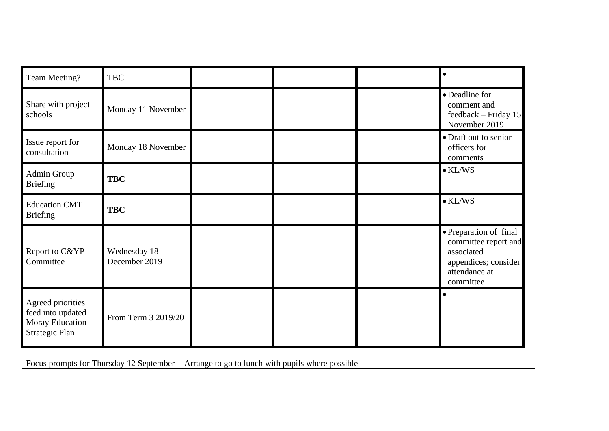| Team Meeting?                                                               | <b>TBC</b>                    |  |                                                                                                                    |
|-----------------------------------------------------------------------------|-------------------------------|--|--------------------------------------------------------------------------------------------------------------------|
| Share with project<br>schools                                               | Monday 11 November            |  | • Deadline for<br>comment and<br>feedback – Friday $15$<br>November 2019                                           |
| Issue report for<br>consultation                                            | Monday 18 November            |  | • Draft out to senior<br>officers for<br>comments                                                                  |
| Admin Group<br><b>Briefing</b>                                              | <b>TBC</b>                    |  | $\bullet$ KL/WS                                                                                                    |
| <b>Education CMT</b><br><b>Briefing</b>                                     | <b>TBC</b>                    |  | $\bullet$ KL/WS                                                                                                    |
| Report to C&YP<br>Committee                                                 | Wednesday 18<br>December 2019 |  | • Preparation of final<br>committee report and<br>associated<br>appendices; consider<br>attendance at<br>committee |
| Agreed priorities<br>feed into updated<br>Moray Education<br>Strategic Plan | From Term 3 2019/20           |  |                                                                                                                    |

Focus prompts for Thursday 12 September - Arrange to go to lunch with pupils where possible